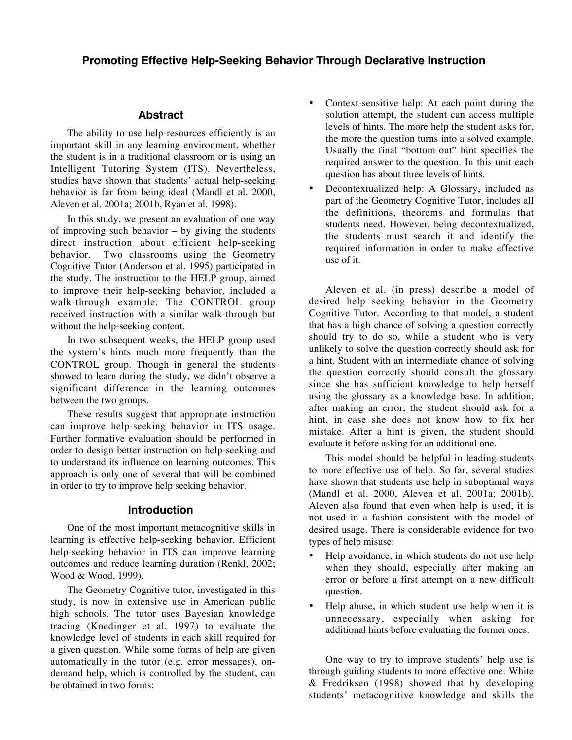# **Promoting Effective Help-Seeking Behavior Through Declarative Instruction**

#### **Abstract**

The ability to use help-resources efficiently is an important skill in any learning environment, whether the student is in a traditional classroom or is using an Intelligent Tutoring System (ITS). Nevertheless, studies have shown that students' actual help-seeking behavior is far from being ideal (Mandl et al. 2000, Aleven et al. 2001a; 2001b, Ryan et al. 1998).

In this study, we present an evaluation of one way of improving such behavior  $-$  by giving the students direct instruction about efficient help-seeking behavior. Two classrooms using the Geometry Cognitive Tutor (Anderson et al. 1995) participated in the study. The instruction to the HELP group, aimed to improve their help-seeking behavior, included a walk-through example. The CONTROL group received instruction with a similar walk-through but without the help-seeking content.

In two subsequent weeks, the HELP group used the system's hints much more frequently than the CONTROL group. Though in general the students showed to learn during the study, we didn't observe a significant difference in the learning outcomes between the two groups.

These results suggest that appropriate instruction can improve help-seeking behavior in ITS usage. Further formative evaluation should be performed in order to design better instruction on help-seeking and to understand its influence on learning outcomes. This approach is only one of several that will be combined in order to try to improve help seeking behavior.

#### **Introduction**

One of the most important metacognitive skills in learning is effective help-seeking behavior. Efficient help-seeking behavior in ITS can improve learning outcomes and reduce learning duration (Renkl, 2002; Wood & Wood, 1999).

The Geometry Cognitive tutor, investigated in this study, is now in extensive use in American public high schools. The tutor uses Bayesian knowledge tracing (Koedinger et al. 1997) to evaluate the knowledge level of students in each skill required for a given question. While some forms of help are given automatically in the tutor (e.g. error messages), ondemand help, which is controlled by the student, can be obtained in two forms:

- Context-sensitive help: At each point during the solution attempt, the student can access multiple levels of hints. The more help the student asks for, the more the question turns into a solved example. Usually the final "bottom-out" hint specifies the required answer to the question. In this unit each question has about three levels of hints.
- Decontextualized help: A Glossary, included as part of the Geometry Cognitive Tutor, includes all the definitions, theorems and formulas that students need. However, being decontextualized, the students must search it and identify the required information in order to make effective use of it.

Aleven et al. (in press) describe a model of desired help seeking behavior in the Geometry Cognitive Tutor. According to that model, a student that has a high chance of solving a question correctly should try to do so, while a student who is very unlikely to solve the question correctly should ask for a hint. Student with an intermediate chance of solving the question correctly should consult the glossary since she has sufficient knowledge to help herself using the glossary as a knowledge base. In addition, after making an error, the student should ask for a hint, in case she does not know how to fix her mistake. After a hint is given, the student should evaluate it before asking for an additional one.

This model should be helpful in leading students to more effective use of help. So far, several studies have shown that students use help in suboptimal ways (Mandl et al. 2000, Aleven et al. 2001a; 2001b). Aleven also found that even when help is used, it is not used in a fashion consistent with the model of desired usage. There is considerable evidence for two types of help misuse:

- Help avoidance, in which students do not use help when they should, especially after making an error or before a first attempt on a new difficult question.
- Help abuse, in which student use help when it is unnecessary, especially when asking for additional hints before evaluating the former ones.

One way to try to improve students' help use is through guiding students to more effective one. White & Fredriksen (1998) showed that by developing students' metacognitive knowledge and skills the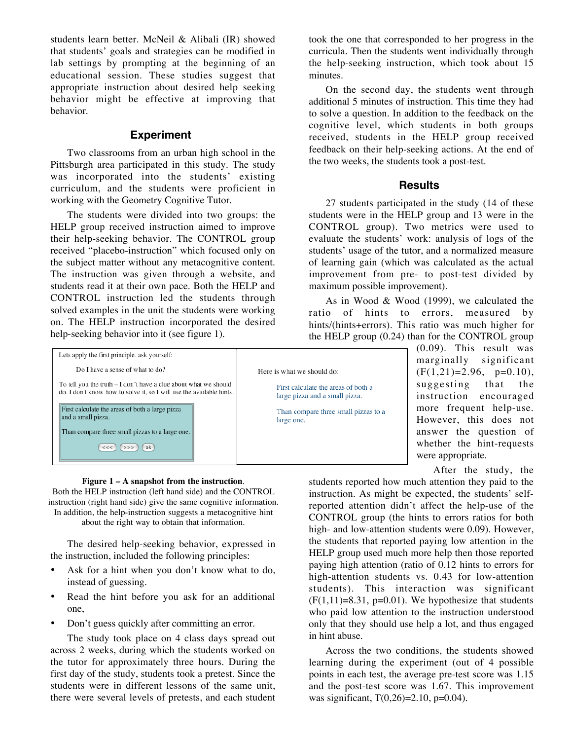students learn better. McNeil & Alibali (IR) showed that students' goals and strategies can be modified in lab settings by prompting at the beginning of an educational session. These studies suggest that appropriate instruction about desired help seeking behavior might be effective at improving that behavior.

## **Experiment**

Two classrooms from an urban high school in the Pittsburgh area participated in this study. The study was incorporated into the students' existing curriculum, and the students were proficient in working with the Geometry Cognitive Tutor.

The students were divided into two groups: the HELP group received instruction aimed to improve their help-seeking behavior. The CONTROL group received "placebo-instruction" which focused only on the subject matter without any metacognitive content. The instruction was given through a website, and students read it at their own pace. Both the HELP and CONTROL instruction led the students through solved examples in the unit the students were working on. The HELP instruction incorporated the desired help-seeking behavior into it (see figure 1).

took the one that corresponded to her progress in the curricula. Then the students went individually through the help-seeking instruction, which took about 15 minutes.

On the second day, the students went through additional 5 minutes of instruction. This time they had to solve a question. In addition to the feedback on the cognitive level, which students in both groups received, students in the HELP group received feedback on their help-seeking actions. At the end of the two weeks, the students took a post-test.

## **Results**

27 students participated in the study (14 of these students were in the HELP group and 13 were in the CONTROL group). Two metrics were used to evaluate the students' work: analysis of logs of the students' usage of the tutor, and a normalized measure of learning gain (which was calculated as the actual improvement from pre- to post-test divided by maximum possible improvement).

As in Wood & Wood (1999), we calculated the ratio of hints to errors, measured by hints/(hints+errors). This ratio was much higher for the HELP group (0.24) than for the CONTROL group

| Lets apply the first principle, ask yourself:                                                                           |                                                                        |
|-------------------------------------------------------------------------------------------------------------------------|------------------------------------------------------------------------|
| Do I have a sense of what to do?<br>To tell you the truth – I don't have a clue about what we should                    | Here is what we should do:<br>First calculate the areas of both a      |
| do. I don't know how to solve it, so I will use the available hints.<br>First calculate the areas of both a large pizza | large pizza and a small pizza.<br>Than compare three small pizzas to a |
| and a small pizza.<br>Than compare three small pizzas to a large one.                                                   | large one.                                                             |
| ok<br><<                                                                                                                |                                                                        |

(0.09). This result was marginally significant  $(F(1,21)=2.96, p=0.10),$ suggesting that the instruction encouraged more frequent help-use. However, this does not answer the question of whether the hint-requests were appropriate.

After the study, the

students reported how much attention they paid to the instruction. As might be expected, the students' selfreported attention didn't affect the help-use of the CONTROL group (the hints to errors ratios for both high- and low-attention students were 0.09). However, the students that reported paying low attention in the HELP group used much more help then those reported paying high attention (ratio of 0.12 hints to errors for high-attention students vs. 0.43 for low-attention students). This interaction was significant  $(F(1,11)=8.31, p=0.01)$ . We hypothesize that students who paid low attention to the instruction understood only that they should use help a lot, and thus engaged in hint abuse.

Across the two conditions, the students showed learning during the experiment (out of 4 possible points in each test, the average pre-test score was 1.15 and the post-test score was 1.67. This improvement was significant,  $T(0,26)=2.10$ , p=0.04).

## **Figure 1 – A snapshot from the instruction**.

Both the HELP instruction (left hand side) and the CONTROL instruction (right hand side) give the same cognitive information. In addition, the help-instruction suggests a metacognitive hint about the right way to obtain that information.

The desired help-seeking behavior, expressed in the instruction, included the following principles:

- Ask for a hint when you don't know what to do, instead of guessing.
- Read the hint before you ask for an additional one,
- Don't guess quickly after committing an error.

The study took place on 4 class days spread out across 2 weeks, during which the students worked on the tutor for approximately three hours. During the first day of the study, students took a pretest. Since the students were in different lessons of the same unit, there were several levels of pretests, and each student